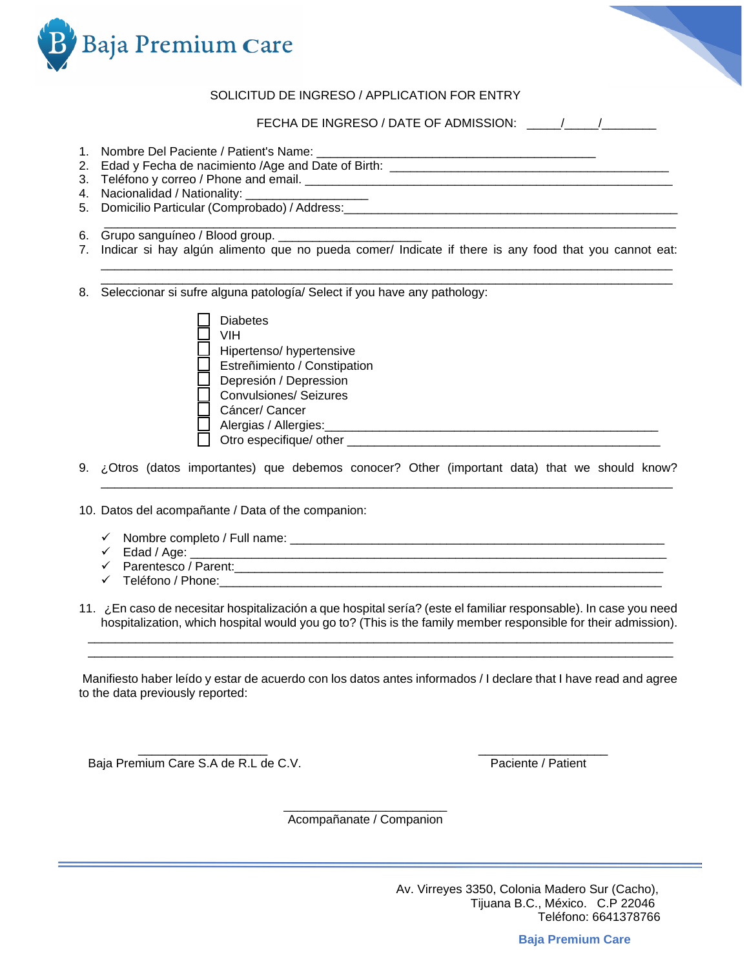

## SOLICITUD DE INGRESO / APPLICATION FOR ENTRY

FECHA DE INGRESO / DATE OF ADMISSION:  $\frac{1}{2}$ 

- 1. Nombre Del Paciente / Patient's Name: \_\_\_\_\_\_\_\_\_\_\_\_\_\_\_\_\_\_\_\_\_\_\_\_\_\_\_\_\_\_\_\_\_\_\_\_\_\_\_\_\_
- 2. Edad y Fecha de nacimiento /Age and Date of Birth: \_\_\_\_\_\_\_\_\_\_\_\_\_\_\_\_\_\_\_\_\_\_\_\_\_\_\_\_\_\_\_\_\_\_\_\_\_\_\_\_\_
- 3. Teléfono y correo / Phone and email. \_\_\_\_\_\_\_\_\_\_\_\_\_\_\_\_\_\_\_\_\_\_\_\_\_\_\_\_\_\_\_\_\_\_\_\_\_\_\_\_\_\_\_\_\_\_\_\_\_\_\_\_\_\_
- 4. Nacionalidad / Nationality: \_\_\_\_\_\_\_\_\_\_\_\_\_\_\_\_\_\_\_\_\_\_\_
- 5. Domicilio Particular (Comprobado) / Address:\_\_\_\_\_\_\_\_\_\_\_\_\_\_\_\_\_\_\_\_\_\_\_\_\_\_\_\_\_\_\_\_\_\_\_\_\_\_\_\_\_\_\_\_\_\_\_\_\_
- 6. Grupo sanguíneo / Blood group. \_\_\_\_\_\_\_\_\_\_
- 7. Indicar si hay algún alimento que no pueda comer/ Indicate if there is any food that you cannot eat:

 $\Box \Box \Box \Box \Box \Box \Box$ \_\_\_\_\_\_\_\_\_\_\_\_\_\_\_\_\_\_\_\_\_\_\_\_\_\_\_\_\_\_\_\_\_\_\_\_\_\_\_\_\_\_\_\_\_\_\_\_\_\_\_\_\_\_\_\_\_\_\_\_\_\_\_\_\_\_\_\_\_\_\_\_\_\_\_\_\_\_\_\_\_\_\_\_

\_\_\_\_\_\_\_\_\_\_\_\_\_\_\_\_\_\_\_\_\_\_\_\_\_\_\_\_\_\_\_\_\_\_\_\_\_\_\_\_\_\_\_\_\_\_\_\_\_\_\_\_\_\_\_\_\_\_\_\_\_\_\_\_\_\_\_\_\_\_\_\_\_\_\_\_\_\_\_\_\_\_\_\_

8. Seleccionar si sufre alguna patología/ Select if you have any pathology:

| <b>Diabetes</b>               |
|-------------------------------|
| VIH                           |
| Hipertenso/hypertensive       |
| Estreñimiento / Constipation  |
| Depresión / Depression        |
| <b>Convulsiones/ Seizures</b> |
| Cáncer/ Cancer                |
| Alergias / Allergies:         |
| Otro especifique/ other       |

9. ¿Otros (datos importantes) que debemos conocer? Other (important data) that we should know?  $\Box \Box \Box \Box \Box \Box \Box$ 

10. Datos del acompañante / Data of the companion:

- ✓ Nombre completo / Full name: \_\_\_\_\_\_\_\_\_\_\_\_\_\_\_\_\_\_\_\_\_\_\_\_\_\_\_\_\_\_\_\_\_\_\_\_\_\_\_\_\_\_\_\_\_\_\_\_\_\_\_\_\_\_\_
- $\checkmark$  Edad / Age:  $\checkmark$
- ✓ Parentesco / Parent:\_\_\_\_\_\_\_\_\_\_\_\_\_\_\_\_\_\_\_\_\_\_\_\_\_\_\_\_\_\_\_\_\_\_\_\_\_\_\_\_\_\_\_\_\_\_\_\_\_\_\_\_\_\_\_\_\_\_\_\_\_\_\_
- ✓ Teléfono / Phone:\_\_\_\_\_\_\_\_\_\_\_\_\_\_\_\_\_\_\_\_\_\_\_\_\_\_\_\_\_\_\_\_\_\_\_\_\_\_\_\_\_\_\_\_\_\_\_\_\_\_\_\_\_\_\_\_\_\_\_\_\_\_\_\_\_

11. ¿En caso de necesitar hospitalización a que hospital sería? (este el familiar responsable). In case you need hospitalization, which hospital would you go to? (This is the family member responsible for their admission). \_\_\_\_\_\_\_\_\_\_\_\_\_\_\_\_\_\_\_\_\_\_\_\_\_\_\_\_\_\_\_\_\_\_\_\_\_\_\_\_\_\_\_\_\_\_\_\_\_\_\_\_\_\_\_\_\_\_\_\_\_\_\_\_\_\_\_\_\_\_\_\_\_\_\_\_\_\_\_\_\_\_\_\_\_\_

 $\Box$ 

Manifiesto haber leído y estar de acuerdo con los datos antes informados / I declare that I have read and agree to the data previously reported:

 $\frac{1}{2}$  ,  $\frac{1}{2}$  ,  $\frac{1}{2}$  ,  $\frac{1}{2}$  ,  $\frac{1}{2}$  ,  $\frac{1}{2}$  ,  $\frac{1}{2}$  ,  $\frac{1}{2}$  ,  $\frac{1}{2}$  ,  $\frac{1}{2}$  ,  $\frac{1}{2}$  ,  $\frac{1}{2}$  ,  $\frac{1}{2}$  ,  $\frac{1}{2}$  ,  $\frac{1}{2}$  ,  $\frac{1}{2}$  ,  $\frac{1}{2}$  ,  $\frac{1}{2}$  ,  $\frac{1$ Baja Premium Care S.A de R.L de C.V. Paciente / Patient

\_\_\_\_\_\_\_\_\_\_\_\_\_\_\_\_\_\_\_\_\_\_\_\_ Acompañanate / Companion

**Baja Premium Care**